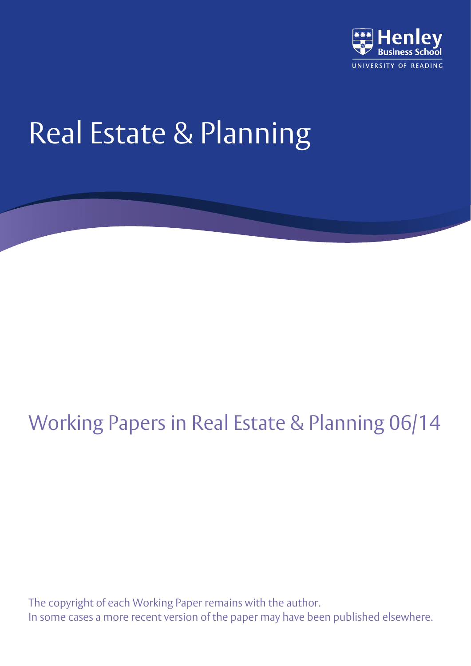

# Real Estate & Planning

## Working Papers in Real Estate & Planning 06/14

The copyright of each Working Paper remains with the author. In some cases a more recent version of the paper may have been published elsewhere.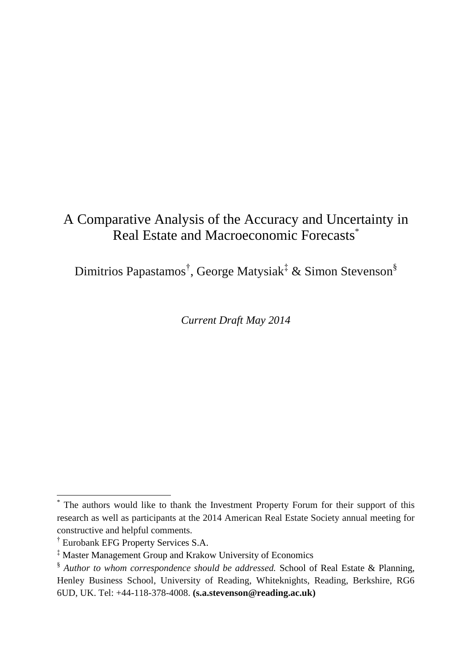## A Comparative Analysis of the Accuracy and Uncertainty in Real Estate and Macroeconomic Forecasts<sup>\*</sup>

Dimitrios Papastamos<sup>†</sup>, George Matysiak<sup>‡</sup> & Simon Stevenson<sup>§</sup>

*Current Draft May 2014*

 $\overline{a}$ 

<sup>\*</sup> The authors would like to thank the Investment Property Forum for their support of this research as well as participants at the 2014 American Real Estate Society annual meeting for constructive and helpful comments.

<sup>†</sup> Eurobank EFG Property Services S.A.

<sup>‡</sup> Master Management Group and Krakow University of Economics

<sup>§</sup> *Author to whom correspondence should be addressed.* School of Real Estate & Planning, Henley Business School, University of Reading, Whiteknights, Reading, Berkshire, RG6 6UD, UK. Tel: +44-118-378-4008. **(s.a.stevenson@reading.ac.uk)**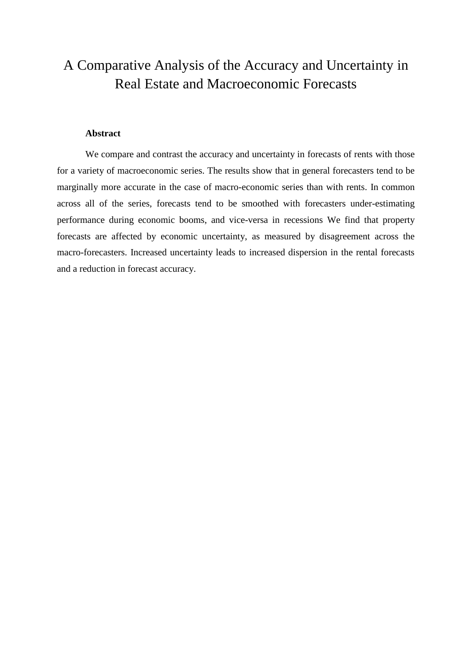## A Comparative Analysis of the Accuracy and Uncertainty in Real Estate and Macroeconomic Forecasts

#### **Abstract**

We compare and contrast the accuracy and uncertainty in forecasts of rents with those for a variety of macroeconomic series. The results show that in general forecasters tend to be marginally more accurate in the case of macro-economic series than with rents. In common across all of the series, forecasts tend to be smoothed with forecasters under-estimating performance during economic booms, and vice-versa in recessions We find that property forecasts are affected by economic uncertainty, as measured by disagreement across the macro-forecasters. Increased uncertainty leads to increased dispersion in the rental forecasts and a reduction in forecast accuracy.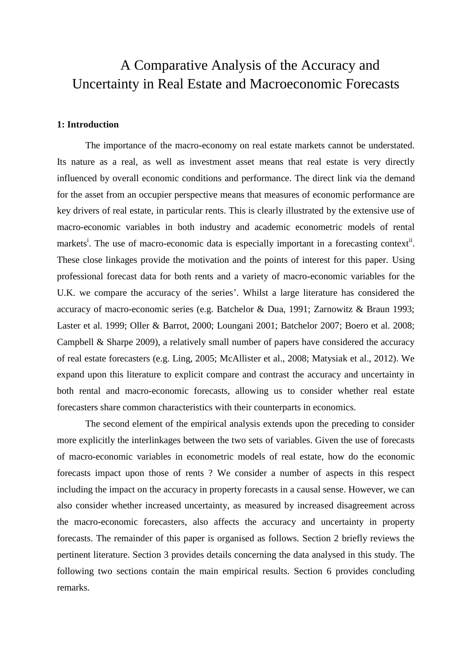## A Comparative Analysis of the Accuracy and Uncertainty in Real Estate and Macroeconomic Forecasts

#### **1: Introduction**

The importance of the macro-economy on real estate markets cannot be understated. Its nature as a real, as well as investment asset means that real estate is very directly influenced by overall economic conditions and performance. The direct link via the demand for the asset from an occupier perspective means that measures of economic performance are key drivers of real estate, in particular rents. This is clearly illustrated by the extensive use of macro-economic variables in both industry and academic econometric models of rental markets<sup>i</sup>. The use of macro-economic data is especially important in a forecasting context<sup>ii</sup>. These close linkages provide the motivation and the points of interest for this paper. Using professional forecast data for both rents and a variety of macro-economic variables for the U.K. we compare the accuracy of the series'. Whilst a large literature has considered the accuracy of macro-economic series (e.g. Batchelor & Dua, 1991; Zarnowitz & Braun 1993; Laster et al. 1999; Oller & Barrot, 2000; Loungani 2001; Batchelor 2007; Boero et al. 2008; Campbell & Sharpe 2009), a relatively small number of papers have considered the accuracy of real estate forecasters (e.g. Ling, 2005; McAllister et al., 2008; Matysiak et al., 2012). We expand upon this literature to explicit compare and contrast the accuracy and uncertainty in both rental and macro-economic forecasts, allowing us to consider whether real estate forecasters share common characteristics with their counterparts in economics.

The second element of the empirical analysis extends upon the preceding to consider more explicitly the interlinkages between the two sets of variables. Given the use of forecasts of macro-economic variables in econometric models of real estate, how do the economic forecasts impact upon those of rents ? We consider a number of aspects in this respect including the impact on the accuracy in property forecasts in a causal sense. However, we can also consider whether increased uncertainty, as measured by increased disagreement across the macro-economic forecasters, also affects the accuracy and uncertainty in property forecasts. The remainder of this paper is organised as follows. Section 2 briefly reviews the pertinent literature. Section 3 provides details concerning the data analysed in this study. The following two sections contain the main empirical results. Section 6 provides concluding remarks.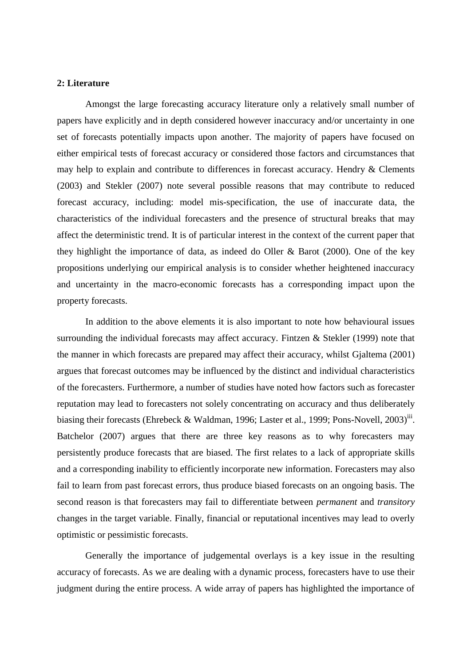#### **2: Literature**

Amongst the large forecasting accuracy literature only a relatively small number of papers have explicitly and in depth considered however inaccuracy and/or uncertainty in one set of forecasts potentially impacts upon another. The majority of papers have focused on either empirical tests of forecast accuracy or considered those factors and circumstances that may help to explain and contribute to differences in forecast accuracy. Hendry & Clements (2003) and Stekler (2007) note several possible reasons that may contribute to reduced forecast accuracy, including: model mis-specification, the use of inaccurate data, the characteristics of the individual forecasters and the presence of structural breaks that may affect the deterministic trend. It is of particular interest in the context of the current paper that they highlight the importance of data, as indeed do Oller & Barot (2000). One of the key propositions underlying our empirical analysis is to consider whether heightened inaccuracy and uncertainty in the macro-economic forecasts has a corresponding impact upon the property forecasts.

In addition to the above elements it is also important to note how behavioural issues surrounding the individual forecasts may affect accuracy. Fintzen & Stekler (1999) note that the manner in which forecasts are prepared may affect their accuracy, whilst Gjaltema (2001) argues that forecast outcomes may be influenced by the distinct and individual characteristics of the forecasters. Furthermore, a number of studies have noted how factors such as forecaster reputation may lead to forecasters not solely concentrating on accuracy and thus deliberately biasing their forecasts (Ehrebeck & Waldman, 1996; Laster et al., 1999; Pons-Novell, 2003)<sup>iii</sup>. Batchelor (2007) argues that there are three key reasons as to why forecasters may persistently produce forecasts that are biased. The first relates to a lack of appropriate skills and a corresponding inability to efficiently incorporate new information. Forecasters may also fail to learn from past forecast errors, thus produce biased forecasts on an ongoing basis. The second reason is that forecasters may fail to differentiate between *permanent* and *transitory* changes in the target variable. Finally, financial or reputational incentives may lead to overly optimistic or pessimistic forecasts.

Generally the importance of judgemental overlays is a key issue in the resulting accuracy of forecasts. As we are dealing with a dynamic process, forecasters have to use their judgment during the entire process. A wide array of papers has highlighted the importance of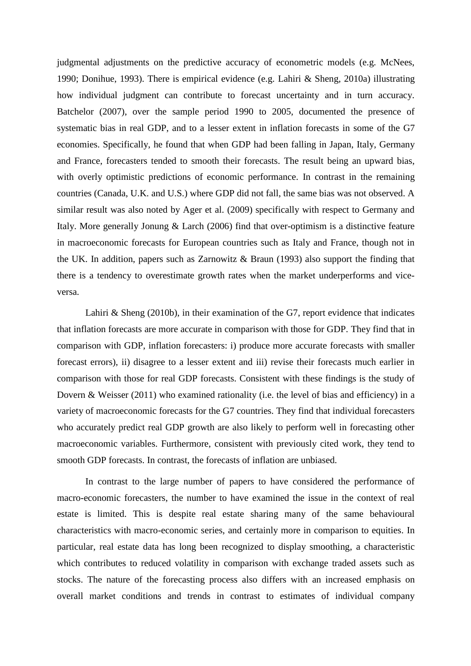judgmental adjustments on the predictive accuracy of econometric models (e.g. McNees, 1990; Donihue, 1993). There is empirical evidence (e.g. Lahiri & Sheng, 2010a) illustrating how individual judgment can contribute to forecast uncertainty and in turn accuracy. Batchelor (2007), over the sample period 1990 to 2005, documented the presence of systematic bias in real GDP, and to a lesser extent in inflation forecasts in some of the G7 economies. Specifically, he found that when GDP had been falling in Japan, Italy, Germany and France, forecasters tended to smooth their forecasts. The result being an upward bias, with overly optimistic predictions of economic performance. In contrast in the remaining countries (Canada, U.K. and U.S.) where GDP did not fall, the same bias was not observed. A similar result was also noted by Ager et al. (2009) specifically with respect to Germany and Italy. More generally Jonung & Larch (2006) find that over-optimism is a distinctive feature in macroeconomic forecasts for European countries such as Italy and France, though not in the UK. In addition, papers such as Zarnowitz & Braun (1993) also support the finding that there is a tendency to overestimate growth rates when the market underperforms and viceversa.

Lahiri  $\&$  Sheng (2010b), in their examination of the G7, report evidence that indicates that inflation forecasts are more accurate in comparison with those for GDP. They find that in comparison with GDP, inflation forecasters: i) produce more accurate forecasts with smaller forecast errors), ii) disagree to a lesser extent and iii) revise their forecasts much earlier in comparison with those for real GDP forecasts. Consistent with these findings is the study of Dovern & Weisser (2011) who examined rationality (i.e. the level of bias and efficiency) in a variety of macroeconomic forecasts for the G7 countries. They find that individual forecasters who accurately predict real GDP growth are also likely to perform well in forecasting other macroeconomic variables. Furthermore, consistent with previously cited work, they tend to smooth GDP forecasts. In contrast, the forecasts of inflation are unbiased.

In contrast to the large number of papers to have considered the performance of macro-economic forecasters, the number to have examined the issue in the context of real estate is limited. This is despite real estate sharing many of the same behavioural characteristics with macro-economic series, and certainly more in comparison to equities. In particular, real estate data has long been recognized to display smoothing, a characteristic which contributes to reduced volatility in comparison with exchange traded assets such as stocks. The nature of the forecasting process also differs with an increased emphasis on overall market conditions and trends in contrast to estimates of individual company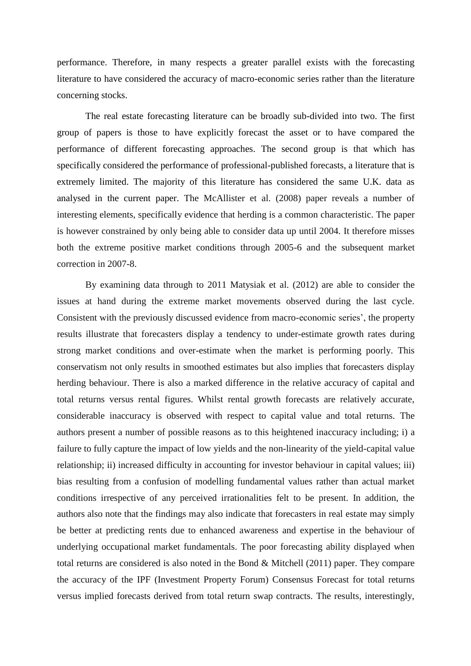performance. Therefore, in many respects a greater parallel exists with the forecasting literature to have considered the accuracy of macro-economic series rather than the literature concerning stocks.

The real estate forecasting literature can be broadly sub-divided into two. The first group of papers is those to have explicitly forecast the asset or to have compared the performance of different forecasting approaches. The second group is that which has specifically considered the performance of professional-published forecasts, a literature that is extremely limited. The majority of this literature has considered the same U.K. data as analysed in the current paper. The McAllister et al. (2008) paper reveals a number of interesting elements, specifically evidence that herding is a common characteristic. The paper is however constrained by only being able to consider data up until 2004. It therefore misses both the extreme positive market conditions through 2005-6 and the subsequent market correction in 2007-8.

By examining data through to 2011 Matysiak et al. (2012) are able to consider the issues at hand during the extreme market movements observed during the last cycle. Consistent with the previously discussed evidence from macro-economic series', the property results illustrate that forecasters display a tendency to under-estimate growth rates during strong market conditions and over-estimate when the market is performing poorly. This conservatism not only results in smoothed estimates but also implies that forecasters display herding behaviour. There is also a marked difference in the relative accuracy of capital and total returns versus rental figures. Whilst rental growth forecasts are relatively accurate, considerable inaccuracy is observed with respect to capital value and total returns. The authors present a number of possible reasons as to this heightened inaccuracy including; i) a failure to fully capture the impact of low yields and the non-linearity of the yield-capital value relationship; ii) increased difficulty in accounting for investor behaviour in capital values; iii) bias resulting from a confusion of modelling fundamental values rather than actual market conditions irrespective of any perceived irrationalities felt to be present. In addition, the authors also note that the findings may also indicate that forecasters in real estate may simply be better at predicting rents due to enhanced awareness and expertise in the behaviour of underlying occupational market fundamentals. The poor forecasting ability displayed when total returns are considered is also noted in the Bond & Mitchell (2011) paper. They compare the accuracy of the IPF (Investment Property Forum) Consensus Forecast for total returns versus implied forecasts derived from total return swap contracts. The results, interestingly,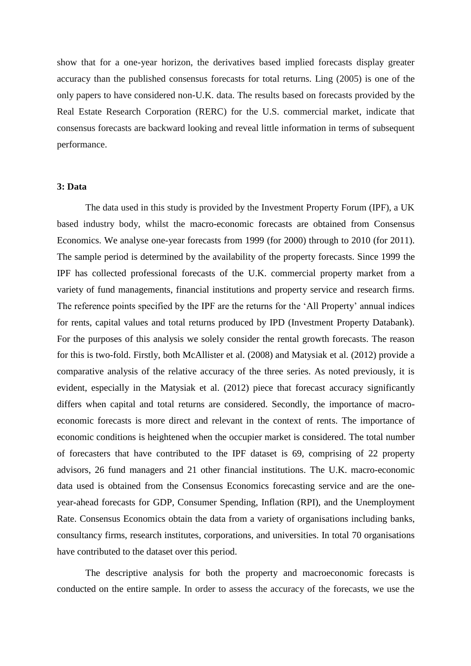show that for a one-year horizon, the derivatives based implied forecasts display greater accuracy than the published consensus forecasts for total returns. Ling (2005) is one of the only papers to have considered non-U.K. data. The results based on forecasts provided by the Real Estate Research Corporation (RERC) for the U.S. commercial market, indicate that consensus forecasts are backward looking and reveal little information in terms of subsequent performance.

#### **3: Data**

The data used in this study is provided by the Investment Property Forum (IPF), a UK based industry body, whilst the macro-economic forecasts are obtained from Consensus Economics. We analyse one-year forecasts from 1999 (for 2000) through to 2010 (for 2011). The sample period is determined by the availability of the property forecasts. Since 1999 the IPF has collected professional forecasts of the U.K. commercial property market from a variety of fund managements, financial institutions and property service and research firms. The reference points specified by the IPF are the returns for the 'All Property' annual indices for rents, capital values and total returns produced by IPD (Investment Property Databank). For the purposes of this analysis we solely consider the rental growth forecasts. The reason for this is two-fold. Firstly, both McAllister et al. (2008) and Matysiak et al. (2012) provide a comparative analysis of the relative accuracy of the three series. As noted previously, it is evident, especially in the Matysiak et al. (2012) piece that forecast accuracy significantly differs when capital and total returns are considered. Secondly, the importance of macroeconomic forecasts is more direct and relevant in the context of rents. The importance of economic conditions is heightened when the occupier market is considered. The total number of forecasters that have contributed to the IPF dataset is 69, comprising of 22 property advisors, 26 fund managers and 21 other financial institutions. The U.K. macro-economic data used is obtained from the Consensus Economics forecasting service and are the oneyear-ahead forecasts for GDP, Consumer Spending, Inflation (RPI), and the Unemployment Rate. Consensus Economics obtain the data from a variety of organisations including banks, consultancy firms, research institutes, corporations, and universities. In total 70 organisations have contributed to the dataset over this period.

The descriptive analysis for both the property and macroeconomic forecasts is conducted on the entire sample. In order to assess the accuracy of the forecasts, we use the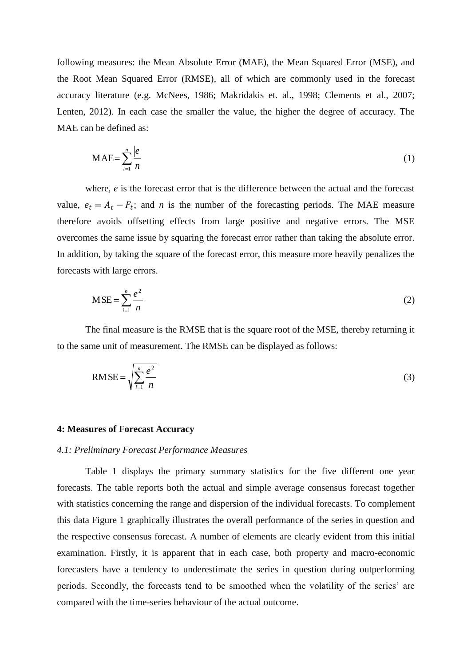following measures: the Mean Absolute Error (MAE), the Mean Squared Error (MSE), and the Root Mean Squared Error (RMSE), all of which are commonly used in the forecast accuracy literature (e.g. McNees, 1986; Makridakis et. al., 1998; Clements et al., 2007; Lenten, 2012). In each case the smaller the value, the higher the degree of accuracy. The MAE can be defined as:

$$
MAE = \sum_{i=1}^{n} \frac{|e|}{n}
$$
 (1)

where, *e* is the forecast error that is the difference between the actual and the forecast value,  $e_t = A_t - F_t$ ; and *n* is the number of the forecasting periods. The MAE measure therefore avoids offsetting effects from large positive and negative errors. The MSE overcomes the same issue by squaring the forecast error rather than taking the absolute error. In addition, by taking the square of the forecast error, this measure more heavily penalizes the forecasts with large errors.

$$
MSE = \sum_{i=1}^{n} \frac{e^2}{n}
$$
 (2)

The final measure is the RMSE that is the square root of the MSE, thereby returning it to the same unit of measurement. The RMSE can be displayed as follows:

$$
RMSE = \sqrt{\sum_{i=1}^{n} \frac{e^2}{n}}
$$
 (3)

#### **4: Measures of Forecast Accuracy**

#### *4.1: Preliminary Forecast Performance Measures*

Table 1 displays the primary summary statistics for the five different one year forecasts. The table reports both the actual and simple average consensus forecast together with statistics concerning the range and dispersion of the individual forecasts. To complement this data Figure 1 graphically illustrates the overall performance of the series in question and the respective consensus forecast. A number of elements are clearly evident from this initial examination. Firstly, it is apparent that in each case, both property and macro-economic forecasters have a tendency to underestimate the series in question during outperforming periods. Secondly, the forecasts tend to be smoothed when the volatility of the series' are compared with the time-series behaviour of the actual outcome.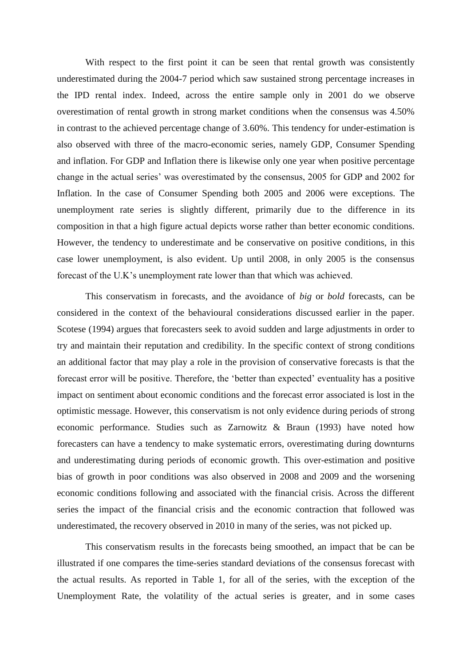With respect to the first point it can be seen that rental growth was consistently underestimated during the 2004-7 period which saw sustained strong percentage increases in the IPD rental index. Indeed, across the entire sample only in 2001 do we observe overestimation of rental growth in strong market conditions when the consensus was 4.50% in contrast to the achieved percentage change of 3.60%. This tendency for under-estimation is also observed with three of the macro-economic series, namely GDP, Consumer Spending and inflation. For GDP and Inflation there is likewise only one year when positive percentage change in the actual series' was overestimated by the consensus, 2005 for GDP and 2002 for Inflation. In the case of Consumer Spending both 2005 and 2006 were exceptions. The unemployment rate series is slightly different, primarily due to the difference in its composition in that a high figure actual depicts worse rather than better economic conditions. However, the tendency to underestimate and be conservative on positive conditions, in this case lower unemployment, is also evident. Up until 2008, in only 2005 is the consensus forecast of the U.K's unemployment rate lower than that which was achieved.

This conservatism in forecasts, and the avoidance of *big* or *bold* forecasts, can be considered in the context of the behavioural considerations discussed earlier in the paper. Scotese (1994) argues that forecasters seek to avoid sudden and large adjustments in order to try and maintain their reputation and credibility. In the specific context of strong conditions an additional factor that may play a role in the provision of conservative forecasts is that the forecast error will be positive. Therefore, the 'better than expected' eventuality has a positive impact on sentiment about economic conditions and the forecast error associated is lost in the optimistic message. However, this conservatism is not only evidence during periods of strong economic performance. Studies such as Zarnowitz & Braun (1993) have noted how forecasters can have a tendency to make systematic errors, overestimating during downturns and underestimating during periods of economic growth. This over-estimation and positive bias of growth in poor conditions was also observed in 2008 and 2009 and the worsening economic conditions following and associated with the financial crisis. Across the different series the impact of the financial crisis and the economic contraction that followed was underestimated, the recovery observed in 2010 in many of the series, was not picked up.

This conservatism results in the forecasts being smoothed, an impact that be can be illustrated if one compares the time-series standard deviations of the consensus forecast with the actual results. As reported in Table 1, for all of the series, with the exception of the Unemployment Rate, the volatility of the actual series is greater, and in some cases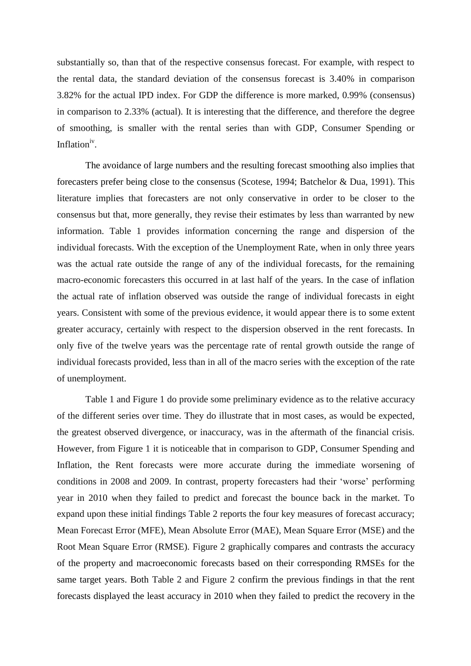substantially so, than that of the respective consensus forecast. For example, with respect to the rental data, the standard deviation of the consensus forecast is 3.40% in comparison 3.82% for the actual IPD index. For GDP the difference is more marked, 0.99% (consensus) in comparison to 2.33% (actual). It is interesting that the difference, and therefore the degree of smoothing, is smaller with the rental series than with GDP, Consumer Spending or Inflation<sup>iv</sup>.

The avoidance of large numbers and the resulting forecast smoothing also implies that forecasters prefer being close to the consensus (Scotese, 1994; Batchelor & Dua, 1991). This literature implies that forecasters are not only conservative in order to be closer to the consensus but that, more generally, they revise their estimates by less than warranted by new information. Table 1 provides information concerning the range and dispersion of the individual forecasts. With the exception of the Unemployment Rate, when in only three years was the actual rate outside the range of any of the individual forecasts, for the remaining macro-economic forecasters this occurred in at last half of the years. In the case of inflation the actual rate of inflation observed was outside the range of individual forecasts in eight years. Consistent with some of the previous evidence, it would appear there is to some extent greater accuracy, certainly with respect to the dispersion observed in the rent forecasts. In only five of the twelve years was the percentage rate of rental growth outside the range of individual forecasts provided, less than in all of the macro series with the exception of the rate of unemployment.

Table 1 and Figure 1 do provide some preliminary evidence as to the relative accuracy of the different series over time. They do illustrate that in most cases, as would be expected, the greatest observed divergence, or inaccuracy, was in the aftermath of the financial crisis. However, from Figure 1 it is noticeable that in comparison to GDP, Consumer Spending and Inflation, the Rent forecasts were more accurate during the immediate worsening of conditions in 2008 and 2009. In contrast, property forecasters had their 'worse' performing year in 2010 when they failed to predict and forecast the bounce back in the market. To expand upon these initial findings Table 2 reports the four key measures of forecast accuracy; Mean Forecast Error (MFE), Mean Absolute Error (MAE), Mean Square Error (MSE) and the Root Mean Square Error (RMSE). Figure 2 graphically compares and contrasts the accuracy of the property and macroeconomic forecasts based on their corresponding RMSEs for the same target years. Both Table 2 and Figure 2 confirm the previous findings in that the rent forecasts displayed the least accuracy in 2010 when they failed to predict the recovery in the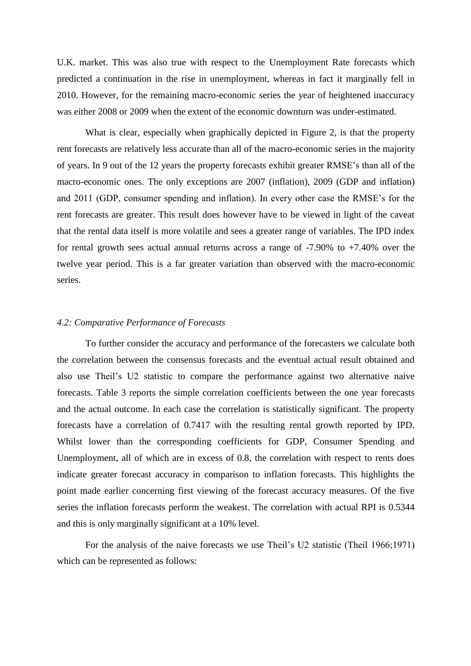U.K. market. This was also true with respect to the Unemployment Rate forecasts which predicted a continuation in the rise in unemployment, whereas in fact it marginally fell in 2010. However, for the remaining macro-economic series the year of heightened inaccuracy was either 2008 or 2009 when the extent of the economic downturn was under-estimated.

What is clear, especially when graphically depicted in Figure 2, is that the property rent forecasts are relatively less accurate than all of the macro-economic series in the majority of years. In 9 out of the 12 years the property forecasts exhibit greater RMSE's than all of the macro-economic ones. The only exceptions are 2007 (inflation), 2009 (GDP and inflation) and 2011 (GDP, consumer spending and inflation). In every other case the RMSE's for the rent forecasts are greater. This result does however have to be viewed in light of the caveat that the rental data itself is more volatile and sees a greater range of variables. The IPD index for rental growth sees actual annual returns across a range of -7.90% to +7.40% over the twelve year period. This is a far greater variation than observed with the macro-economic series.

#### *4.2: Comparative Performance of Forecasts*

To further consider the accuracy and performance of the forecasters we calculate both the correlation between the consensus forecasts and the eventual actual result obtained and also use Theil's U2 statistic to compare the performance against two alternative naive forecasts. Table 3 reports the simple correlation coefficients between the one year forecasts and the actual outcome. In each case the correlation is statistically significant. The property forecasts have a correlation of 0.7417 with the resulting rental growth reported by IPD. Whilst lower than the corresponding coefficients for GDP, Consumer Spending and Unemployment, all of which are in excess of 0.8, the correlation with respect to rents does indicate greater forecast accuracy in comparison to inflation forecasts. This highlights the point made earlier concerning first viewing of the forecast accuracy measures. Of the five series the inflation forecasts perform the weakest. The correlation with actual RPI is 0.5344 and this is only marginally significant at a 10% level.

For the analysis of the naive forecasts we use Theil's U2 statistic (Theil 1966;1971) which can be represented as follows: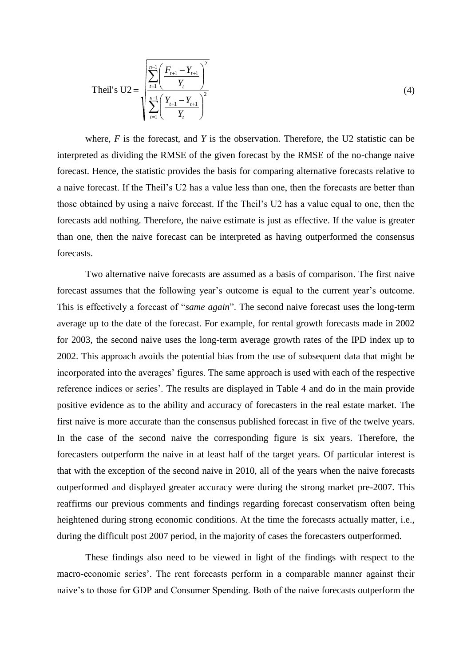$$
\text{Theil's } U2 = \sqrt{\sum_{t=1}^{n-1} \left( \frac{F_{t+1} - Y_{t+1}}{Y_t} \right)^2}{\sum_{t=1}^{n-1} \left( \frac{Y_{t+1} - Y_{t+1}}{Y_t} \right)^2}
$$
\n(4)

where, *F* is the forecast, and *Y* is the observation. Therefore, the U2 statistic can be interpreted as dividing the RMSE of the given forecast by the RMSE of the no-change naive forecast. Hence, the statistic provides the basis for comparing alternative forecasts relative to a naive forecast. If the Theil's U2 has a value less than one, then the forecasts are better than those obtained by using a naive forecast. If the Theil's U2 has a value equal to one, then the forecasts add nothing. Therefore, the naive estimate is just as effective. If the value is greater than one, then the naive forecast can be interpreted as having outperformed the consensus forecasts.

Two alternative naive forecasts are assumed as a basis of comparison. The first naive forecast assumes that the following year's outcome is equal to the current year's outcome. This is effectively a forecast of "*same again*". The second naive forecast uses the long-term average up to the date of the forecast. For example, for rental growth forecasts made in 2002 for 2003, the second naive uses the long-term average growth rates of the IPD index up to 2002. This approach avoids the potential bias from the use of subsequent data that might be incorporated into the averages' figures. The same approach is used with each of the respective reference indices or series'. The results are displayed in Table 4 and do in the main provide positive evidence as to the ability and accuracy of forecasters in the real estate market. The first naive is more accurate than the consensus published forecast in five of the twelve years. In the case of the second naive the corresponding figure is six years. Therefore, the forecasters outperform the naive in at least half of the target years. Of particular interest is that with the exception of the second naive in 2010, all of the years when the naive forecasts outperformed and displayed greater accuracy were during the strong market pre-2007. This reaffirms our previous comments and findings regarding forecast conservatism often being heightened during strong economic conditions. At the time the forecasts actually matter, i.e., during the difficult post 2007 period, in the majority of cases the forecasters outperformed.

These findings also need to be viewed in light of the findings with respect to the macro-economic series'. The rent forecasts perform in a comparable manner against their naive's to those for GDP and Consumer Spending. Both of the naive forecasts outperform the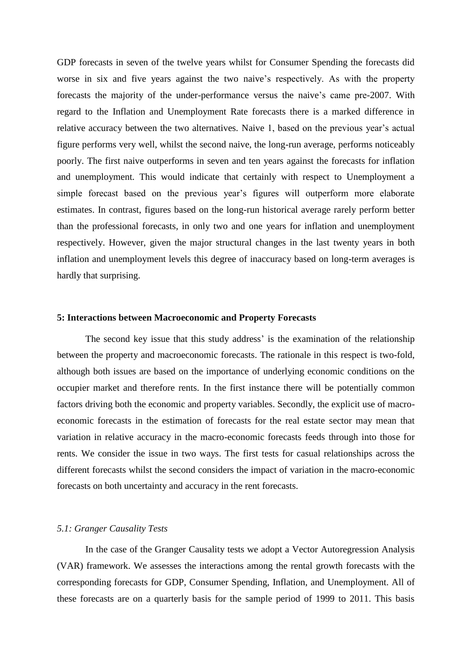GDP forecasts in seven of the twelve years whilst for Consumer Spending the forecasts did worse in six and five years against the two naive's respectively. As with the property forecasts the majority of the under-performance versus the naive's came pre-2007. With regard to the Inflation and Unemployment Rate forecasts there is a marked difference in relative accuracy between the two alternatives. Naive 1, based on the previous year's actual figure performs very well, whilst the second naive, the long-run average, performs noticeably poorly. The first naive outperforms in seven and ten years against the forecasts for inflation and unemployment. This would indicate that certainly with respect to Unemployment a simple forecast based on the previous year's figures will outperform more elaborate estimates. In contrast, figures based on the long-run historical average rarely perform better than the professional forecasts, in only two and one years for inflation and unemployment respectively. However, given the major structural changes in the last twenty years in both inflation and unemployment levels this degree of inaccuracy based on long-term averages is hardly that surprising.

#### **5: Interactions between Macroeconomic and Property Forecasts**

The second key issue that this study address' is the examination of the relationship between the property and macroeconomic forecasts. The rationale in this respect is two-fold, although both issues are based on the importance of underlying economic conditions on the occupier market and therefore rents. In the first instance there will be potentially common factors driving both the economic and property variables. Secondly, the explicit use of macroeconomic forecasts in the estimation of forecasts for the real estate sector may mean that variation in relative accuracy in the macro-economic forecasts feeds through into those for rents. We consider the issue in two ways. The first tests for casual relationships across the different forecasts whilst the second considers the impact of variation in the macro-economic forecasts on both uncertainty and accuracy in the rent forecasts.

#### *5.1: Granger Causality Tests*

In the case of the Granger Causality tests we adopt a Vector Autoregression Analysis (VAR) framework. We assesses the interactions among the rental growth forecasts with the corresponding forecasts for GDP, Consumer Spending, Inflation, and Unemployment. All of these forecasts are on a quarterly basis for the sample period of 1999 to 2011. This basis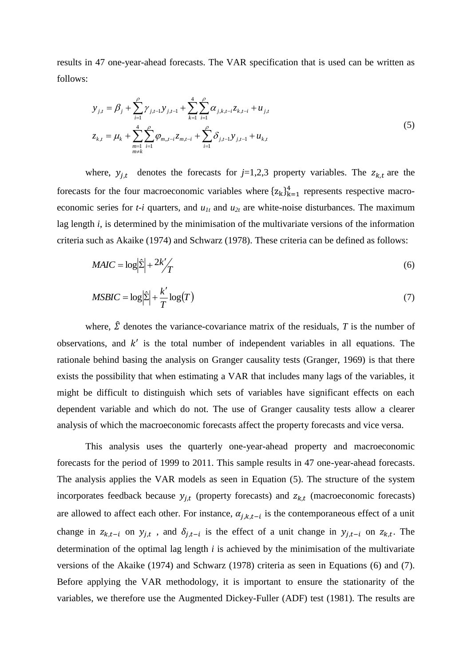results in 47 one-year-ahead forecasts. The VAR specification that is used can be written as follows:

$$
y_{j,t} = \beta_j + \sum_{i=1}^{\rho} \gamma_{j,t-1} y_{j,t-1} + \sum_{k=1}^{4} \sum_{i=1}^{\rho} \alpha_{j,k,t-i} z_{k,t-i} + u_{j,t}
$$
  

$$
z_{k,t} = \mu_k + \sum_{\substack{m=1 \ m \neq k}}^{4} \sum_{i=1}^{\rho} \varphi_{m,t-i} z_{m,t-i} + \sum_{i=1}^{\rho} \delta_{j,t-1} y_{j,t-1} + u_{k,t}
$$
 (5)

where,  $y_{j,t}$  denotes the forecasts for  $j=1,2,3$  property variables. The  $z_{k,t}$  are the forecasts for the four macroeconomic variables where  $\{z_k\}_{k=1}^4$  represents respective macroeconomic series for  $t-i$  quarters, and  $u_{1t}$  and  $u_{2t}$  are white-noise disturbances. The maximum lag length *i*, is determined by the minimisation of the multivariate versions of the information criteria such as Akaike (1974) and Schwarz (1978). These criteria can be defined as follows:

$$
MAIC = \log \left| \hat{\Sigma} \right| + \frac{2k'}{T} \tag{6}
$$

$$
MSBIC = \log \left| \hat{\Sigma} \right| + \frac{k'}{T} \log(T) \tag{7}
$$

where,  $\hat{\Sigma}$  denotes the variance-covariance matrix of the residuals, *T* is the number of observations, and  $k'$  is the total number of independent variables in all equations. The rationale behind basing the analysis on Granger causality tests (Granger, 1969) is that there exists the possibility that when estimating a VAR that includes many lags of the variables, it might be difficult to distinguish which sets of variables have significant effects on each dependent variable and which do not. The use of Granger causality tests allow a clearer analysis of which the macroeconomic forecasts affect the property forecasts and vice versa.

This analysis uses the quarterly one-year-ahead property and macroeconomic forecasts for the period of 1999 to 2011. This sample results in 47 one-year-ahead forecasts. The analysis applies the VAR models as seen in Equation (5). The structure of the system incorporates feedback because  $y_{i,t}$  (property forecasts) and  $z_{k,t}$  (macroeconomic forecasts) are allowed to affect each other. For instance,  $\alpha_{i,k,t-i}$  is the contemporaneous effect of a unit change in  $z_{k,t-i}$  on  $y_{i,t}$ , and  $\delta_{i,t-i}$  is the effect of a unit change in  $y_{i,t-i}$  on  $z_{k,t}$ . The determination of the optimal lag length *i* is achieved by the minimisation of the multivariate versions of the Akaike (1974) and Schwarz (1978) criteria as seen in Equations (6) and (7). Before applying the VAR methodology, it is important to ensure the stationarity of the variables, we therefore use the Augmented Dickey-Fuller (ADF) test (1981). The results are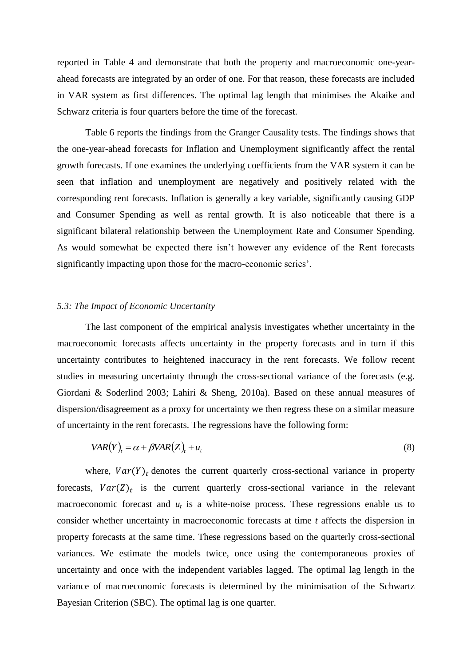reported in Table 4 and demonstrate that both the property and macroeconomic one-yearahead forecasts are integrated by an order of one. For that reason, these forecasts are included in VAR system as first differences. The optimal lag length that minimises the Akaike and Schwarz criteria is four quarters before the time of the forecast.

Table 6 reports the findings from the Granger Causality tests. The findings shows that the one-year-ahead forecasts for Inflation and Unemployment significantly affect the rental growth forecasts. If one examines the underlying coefficients from the VAR system it can be seen that inflation and unemployment are negatively and positively related with the corresponding rent forecasts. Inflation is generally a key variable, significantly causing GDP and Consumer Spending as well as rental growth. It is also noticeable that there is a significant bilateral relationship between the Unemployment Rate and Consumer Spending. As would somewhat be expected there isn't however any evidence of the Rent forecasts significantly impacting upon those for the macro-economic series'.

#### *5.3: The Impact of Economic Uncertanity*

The last component of the empirical analysis investigates whether uncertainty in the macroeconomic forecasts affects uncertainty in the property forecasts and in turn if this uncertainty contributes to heightened inaccuracy in the rent forecasts. We follow recent studies in measuring uncertainty through the cross-sectional variance of the forecasts (e.g. Giordani & Soderlind 2003; Lahiri & Sheng, 2010a). Based on these annual measures of dispersion/disagreement as a proxy for uncertainty we then regress these on a similar measure of uncertainty in the rent forecasts. The regressions have the following form:

$$
VAR(Y)_{t} = \alpha + \beta VAR(Z)_{t} + u_{t}
$$
\n
$$
(8)
$$

where,  $Var(Y)_t$  denotes the current quarterly cross-sectional variance in property forecasts,  $Var(Z)_t$  is the current quarterly cross-sectional variance in the relevant macroeconomic forecast and  $u_t$  is a white-noise process. These regressions enable us to consider whether uncertainty in macroeconomic forecasts at time *t* affects the dispersion in property forecasts at the same time. These regressions based on the quarterly cross-sectional variances. We estimate the models twice, once using the contemporaneous proxies of uncertainty and once with the independent variables lagged. The optimal lag length in the variance of macroeconomic forecasts is determined by the minimisation of the Schwartz Bayesian Criterion (SBC). The optimal lag is one quarter.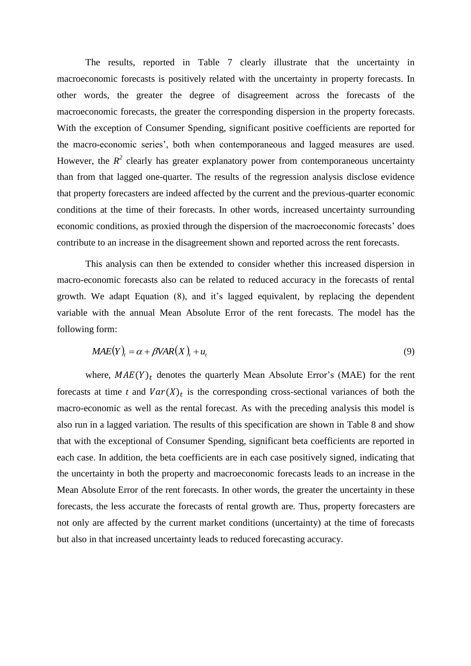The results, reported in Table 7 clearly illustrate that the uncertainty in macroeconomic forecasts is positively related with the uncertainty in property forecasts. In other words, the greater the degree of disagreement across the forecasts of the macroeconomic forecasts, the greater the corresponding dispersion in the property forecasts. With the exception of Consumer Spending, significant positive coefficients are reported for the macro-economic series', both when contemporaneous and lagged measures are used. However, the  $R^2$  clearly has greater explanatory power from contemporaneous uncertainty than from that lagged one-quarter. The results of the regression analysis disclose evidence that property forecasters are indeed affected by the current and the previous-quarter economic conditions at the time of their forecasts. In other words, increased uncertainty surrounding economic conditions, as proxied through the dispersion of the macroeconomic forecasts' does contribute to an increase in the disagreement shown and reported across the rent forecasts.

This analysis can then be extended to consider whether this increased dispersion in macro-economic forecasts also can be related to reduced accuracy in the forecasts of rental growth. We adapt Equation (8), and it's lagged equivalent, by replacing the dependent variable with the annual Mean Absolute Error of the rent forecasts. The model has the following form:

$$
MAE(Y)_{t} = \alpha + \beta VAR(X)_{t} + u_{t}
$$
\n<sup>(9)</sup>

where,  $MAE(Y)<sub>t</sub>$  denotes the quarterly Mean Absolute Error's (MAE) for the rent forecasts at time *t* and  $Var(X)_t$  is the corresponding cross-sectional variances of both the macro-economic as well as the rental forecast. As with the preceding analysis this model is also run in a lagged variation. The results of this specification are shown in Table 8 and show that with the exceptional of Consumer Spending, significant beta coefficients are reported in each case. In addition, the beta coefficients are in each case positively signed, indicating that the uncertainty in both the property and macroeconomic forecasts leads to an increase in the Mean Absolute Error of the rent forecasts. In other words, the greater the uncertainty in these forecasts, the less accurate the forecasts of rental growth are. Thus, property forecasters are not only are affected by the current market conditions (uncertainty) at the time of forecasts but also in that increased uncertainty leads to reduced forecasting accuracy.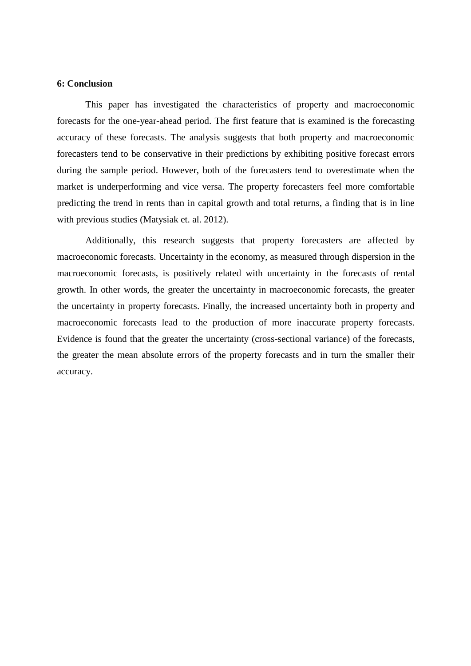#### **6: Conclusion**

This paper has investigated the characteristics of property and macroeconomic forecasts for the one-year-ahead period. The first feature that is examined is the forecasting accuracy of these forecasts. The analysis suggests that both property and macroeconomic forecasters tend to be conservative in their predictions by exhibiting positive forecast errors during the sample period. However, both of the forecasters tend to overestimate when the market is underperforming and vice versa. The property forecasters feel more comfortable predicting the trend in rents than in capital growth and total returns, a finding that is in line with previous studies (Matysiak et. al. 2012).

Additionally, this research suggests that property forecasters are affected by macroeconomic forecasts. Uncertainty in the economy, as measured through dispersion in the macroeconomic forecasts, is positively related with uncertainty in the forecasts of rental growth. In other words, the greater the uncertainty in macroeconomic forecasts, the greater the uncertainty in property forecasts. Finally, the increased uncertainty both in property and macroeconomic forecasts lead to the production of more inaccurate property forecasts. Evidence is found that the greater the uncertainty (cross-sectional variance) of the forecasts, the greater the mean absolute errors of the property forecasts and in turn the smaller their accuracy.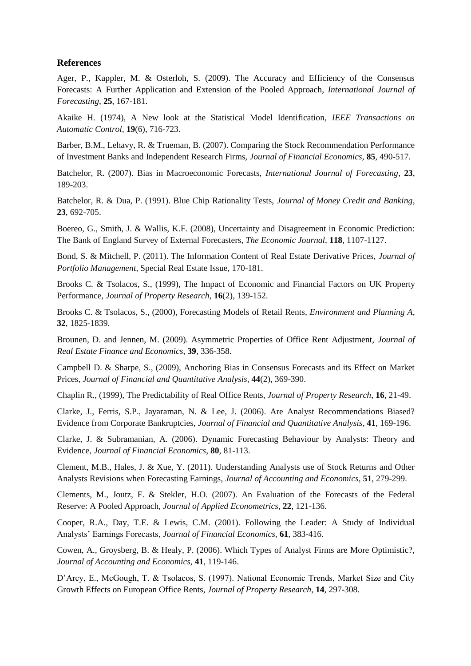#### **References**

Ager, P., Kappler, M. & Osterloh, S. (2009). The Accuracy and Efficiency of the Consensus Forecasts: A Further Application and Extension of the Pooled Approach, *International Journal of Forecasting*, **25**, 167-181.

Akaike H. (1974), A New look at the Statistical Model Identification, *IEEE Transactions on Automatic Control*, **19**(6), 716-723.

Barber, B.M., Lehavy, R. & Trueman, B. (2007). Comparing the Stock Recommendation Performance of Investment Banks and Independent Research Firms, *Journal of Financial Economics*, **85**, 490-517.

Batchelor, R. (2007). Bias in Macroeconomic Forecasts, *International Journal of Forecasting*, **23**, 189-203.

Batchelor, R. & Dua, P. (1991). Blue Chip Rationality Tests, *Journal of Money Credit and Banking*, **23**, 692-705.

Boereo, G., Smith, J. & Wallis, K.F. (2008), Uncertainty and Disagreement in Economic Prediction: The Bank of England Survey of External Forecasters, *The Economic Journal*, **118**, 1107-1127.

Bond, S. & Mitchell, P. (2011). The Information Content of Real Estate Derivative Prices, *Journal of Portfolio Management*, Special Real Estate Issue, 170-181.

Brooks C. & Tsolacos, S., (1999), The Impact of Economic and Financial Factors on UK Property Performance, *Journal of Property Research*, **16**(2), 139-152.

Brooks C. & Tsolacos, S., (2000), Forecasting Models of Retail Rents, *Environment and Planning A*, **32**, 1825-1839.

Brounen, D. and Jennen, M. (2009). Asymmetric Properties of Office Rent Adjustment, *Journal of Real Estate Finance and Economics*, **39**, 336-358.

Campbell D. & Sharpe, S., (2009), Anchoring Bias in Consensus Forecasts and its Effect on Market Prices, *Journal of Financial and Quantitative Analysis*, **44**(2), 369-390.

Chaplin R., (1999), The Predictability of Real Office Rents, *Journal of Property Research*, **16**, 21-49.

Clarke, J., Ferris, S.P., Jayaraman, N. & Lee, J. (2006). Are Analyst Recommendations Biased? Evidence from Corporate Bankruptcies, *Journal of Financial and Quantitative Analysis*, **41**, 169-196.

Clarke, J. & Subramanian, A. (2006). Dynamic Forecasting Behaviour by Analysts: Theory and Evidence, *Journal of Financial Economics*, **80**, 81-113.

Clement, M.B., Hales, J. & Xue, Y. (2011). Understanding Analysts use of Stock Returns and Other Analysts Revisions when Forecasting Earnings, *Journal of Accounting and Economics*, **51**, 279-299.

Clements, M., Joutz, F. & Stekler, H.O. (2007). An Evaluation of the Forecasts of the Federal Reserve: A Pooled Approach, *Journal of Applied Econometrics*, **22**, 121-136.

Cooper, R.A., Day, T.E. & Lewis, C.M. (2001). Following the Leader: A Study of Individual Analysts' Earnings Forecasts, *Journal of Financial Economics*, **61**, 383-416.

Cowen, A., Groysberg, B. & Healy, P. (2006). Which Types of Analyst Firms are More Optimistic?, *Journal of Accounting and Economics*, **41**, 119-146.

D'Arcy, E., McGough, T. & Tsolacos, S. (1997). National Economic Trends, Market Size and City Growth Effects on European Office Rents, *Journal of Property Research*, **14**, 297-308.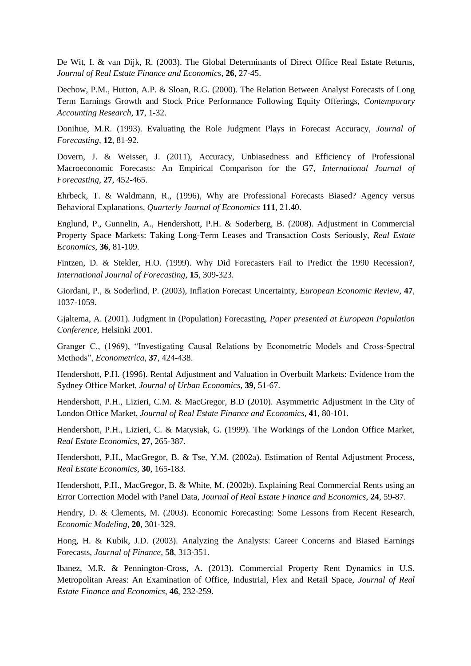De Wit, I. & van Dijk, R. (2003). The Global Determinants of Direct Office Real Estate Returns, *Journal of Real Estate Finance and Economics*, **26**, 27-45.

Dechow, P.M., Hutton, A.P. & Sloan, R.G. (2000). The Relation Between Analyst Forecasts of Long Term Earnings Growth and Stock Price Performance Following Equity Offerings, *Contemporary Accounting Research*, **17**, 1-32.

Donihue, M.R. (1993). Evaluating the Role Judgment Plays in Forecast Accuracy, *Journal of Forecasting*, **12**, 81-92.

Dovern, J. & Weisser, J. (2011), Accuracy, Unbiasedness and Efficiency of Professional Macroeconomic Forecasts: An Empirical Comparison for the G7, *International Journal of Forecasting*, **27**, 452-465.

Ehrbeck, T. & Waldmann, R., (1996), Why are Professional Forecasts Biased? Agency versus Behavioral Explanations, *Quarterly Journal of Economics* **111**, 21.40.

Englund, P., Gunnelin, A., Hendershott, P.H. & Soderberg, B. (2008). Adjustment in Commercial Property Space Markets: Taking Long-Term Leases and Transaction Costs Seriously, *Real Estate Economics*, **36**, 81-109.

Fintzen, D. & Stekler, H.O. (1999). Why Did Forecasters Fail to Predict the 1990 Recession?, *International Journal of Forecasting*, **15**, 309-323.

Giordani, P., & Soderlind, P. (2003), Inflation Forecast Uncertainty, *European Economic Review*, **47**, 1037-1059.

Gjaltema, A. (2001). Judgment in (Population) Forecasting, *Paper presented at European Population Conference,* Helsinki 2001.

Granger C., (1969), "Investigating Causal Relations by Econometric Models and Cross-Spectral Methods", *Econometrica*, **37**, 424-438.

Hendershott, P.H. (1996). Rental Adjustment and Valuation in Overbuilt Markets: Evidence from the Sydney Office Market, *Journal of Urban Economics*, **39**, 51-67.

Hendershott, P.H., Lizieri, C.M. & MacGregor, B.D (2010). Asymmetric Adjustment in the City of London Office Market, *Journal of Real Estate Finance and Economics*, **41**, 80-101.

Hendershott, P.H., Lizieri, C. & Matysiak, G. (1999). The Workings of the London Office Market, *Real Estate Economics*, **27**, 265-387.

Hendershott, P.H., MacGregor, B. & Tse, Y.M. (2002a). Estimation of Rental Adjustment Process, *Real Estate Economics*, **30**, 165-183.

Hendershott, P.H., MacGregor, B. & White, M. (2002b). Explaining Real Commercial Rents using an Error Correction Model with Panel Data, *Journal of Real Estate Finance and Economics*, **24**, 59-87.

Hendry, D. & Clements, M. (2003). Economic Forecasting: Some Lessons from Recent Research, *Economic Modeling*, **20**, 301-329.

Hong, H. & Kubik, J.D. (2003). Analyzing the Analysts: Career Concerns and Biased Earnings Forecasts, *Journal of Finance*, **58**, 313-351.

Ibanez, M.R. & Pennington-Cross, A. (2013). Commercial Property Rent Dynamics in U.S. Metropolitan Areas: An Examination of Office, Industrial, Flex and Retail Space, *Journal of Real Estate Finance and Economics*, **46**, 232-259.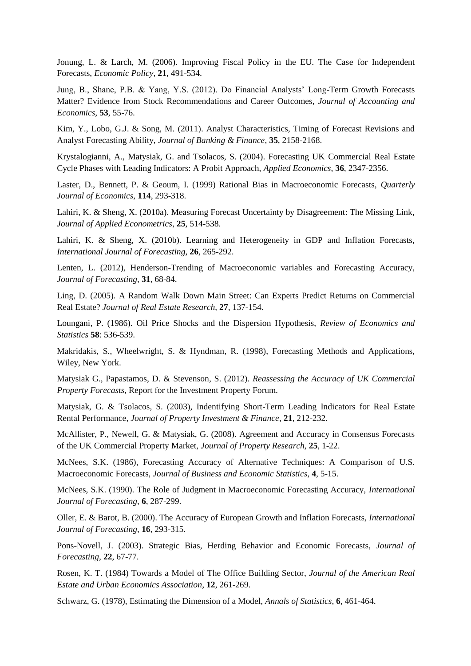Jonung, L. & Larch, M. (2006). Improving Fiscal Policy in the EU. The Case for Independent Forecasts, *Economic Policy*, **21**, 491-534.

Jung, B., Shane, P.B. & Yang, Y.S. (2012). Do Financial Analysts' Long-Term Growth Forecasts Matter? Evidence from Stock Recommendations and Career Outcomes, *Journal of Accounting and Economics*, **53**, 55-76.

Kim, Y., Lobo, G.J. & Song, M. (2011). Analyst Characteristics, Timing of Forecast Revisions and Analyst Forecasting Ability, *Journal of Banking & Finance*, **35**, 2158-2168.

Krystalogianni, A., Matysiak, G. and Tsolacos, S. (2004). Forecasting UK Commercial Real Estate Cycle Phases with Leading Indicators: A Probit Approach, *Applied Economics*, **36**, 2347-2356.

Laster, D., Bennett, P. & Geoum, I. (1999) Rational Bias in Macroeconomic Forecasts, *Quarterly Journal of Economics*, **114**, 293-318.

Lahiri, K. & Sheng, X. (2010a). Measuring Forecast Uncertainty by Disagreement: The Missing Link, *Journal of Applied Econometrics*, **25**, 514-538.

Lahiri, K. & Sheng, X. (2010b). Learning and Heterogeneity in GDP and Inflation Forecasts, *International Journal of Forecasting*, **26**, 265-292.

Lenten, L. (2012), Henderson-Trending of Macroeconomic variables and Forecasting Accuracy, *Journal of Forecasting,* **31**, 68-84.

Ling, D. (2005). A Random Walk Down Main Street: Can Experts Predict Returns on Commercial Real Estate? *Journal of Real Estate Research*, **27**, 137-154.

Loungani, P. (1986). Oil Price Shocks and the Dispersion Hypothesis, *Review of Economics and Statistics* **58**: 536-539.

Makridakis, S., Wheelwright, S. & Hyndman, R. (1998), Forecasting Methods and Applications, Wiley, New York.

Matysiak G., Papastamos, D. & Stevenson, S. (2012). *Reassessing the Accuracy of UK Commercial Property Forecasts*, Report for the Investment Property Forum.

Matysiak, G. & Tsolacos, S. (2003), Indentifying Short-Term Leading Indicators for Real Estate Rental Performance, *Journal of Property Investment & Finance*, **21**, 212-232.

McAllister, P., Newell, G. & Matysiak, G. (2008). Agreement and Accuracy in Consensus Forecasts of the UK Commercial Property Market, *Journal of Property Research*, **25**, 1-22.

McNees, S.K. (1986), Forecasting Accuracy of Alternative Techniques: A Comparison of U.S. Macroeconomic Forecasts, *Journal of Business and Economic Statistics*, **4**, 5-15.

McNees, S.K. (1990). The Role of Judgment in Macroeconomic Forecasting Accuracy, *International Journal of Forecasting*, **6**, 287-299.

Oller, E. & Barot, B. (2000). The Accuracy of European Growth and Inflation Forecasts, *International Journal of Forecasting*, **16**, 293-315.

Pons-Novell, J. (2003). Strategic Bias, Herding Behavior and Economic Forecasts, *Journal of Forecasting*, **22**, 67-77.

Rosen, K. T. (1984) Towards a Model of The Office Building Sector, *Journal of the American Real Estate and Urban Economics Association*, **12**, 261-269.

Schwarz, G. (1978), Estimating the Dimension of a Model, *Annals of Statistics*, **6**, 461-464.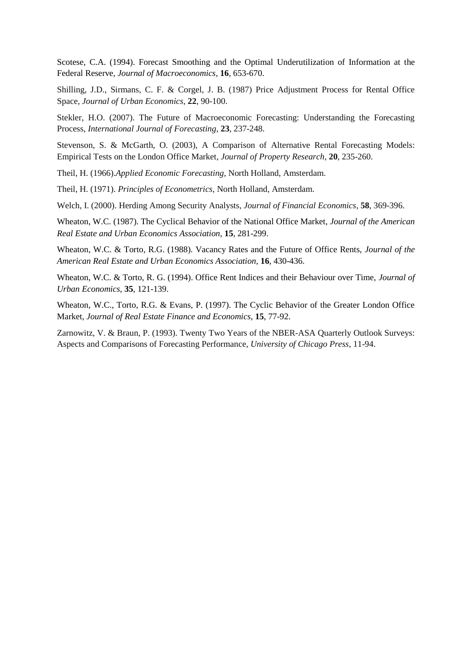Scotese, C.A. (1994). Forecast Smoothing and the Optimal Underutilization of Information at the Federal Reserve, *Journal of Macroeconomics*, **16**, 653-670.

Shilling, J.D., Sirmans, C. F. & Corgel, J. B. (1987) Price Adjustment Process for Rental Office Space, *Journal of Urban Economics*, **22**, 90-100.

Stekler, H.O. (2007). The Future of Macroeconomic Forecasting: Understanding the Forecasting Process, *International Journal of Forecasting*, **23**, 237-248.

Stevenson, S. & McGarth, O. (2003), A Comparison of Alternative Rental Forecasting Models: Empirical Tests on the London Office Market, *Journal of Property Research*, **20**, 235-260.

Theil, H. (1966).*Applied Economic Forecasting*, North Holland, Amsterdam.

Theil, H. (1971). *Principles of Econometrics*, North Holland, Amsterdam.

Welch, I. (2000). Herding Among Security Analysts, *Journal of Financial Economics*, **58**, 369-396.

Wheaton, W.C. (1987). The Cyclical Behavior of the National Office Market, *Journal of the American Real Estate and Urban Economics Association*, **15**, 281-299.

Wheaton, W.C. & Torto, R.G. (1988). Vacancy Rates and the Future of Office Rents, *Journal of the American Real Estate and Urban Economics Association*, **16**, 430-436.

Wheaton, W.C. & Torto, R. G. (1994). Office Rent Indices and their Behaviour over Time, *Journal of Urban Economics*, **35**, 121-139.

Wheaton, W.C., Torto, R.G. & Evans, P. (1997). The Cyclic Behavior of the Greater London Office Market, *Journal of Real Estate Finance and Economics*, **15**, 77-92.

Zarnowitz, V. & Braun, P. (1993). Twenty Two Years of the NBER-ASA Quarterly Outlook Surveys: Aspects and Comparisons of Forecasting Performance, *University of Chicago Press*, 11-94.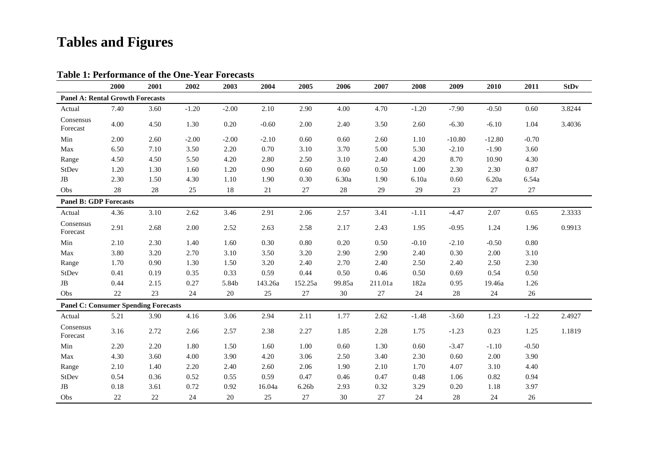## **Tables and Figures**

|                                             | 2000   | 2001   | 2002    | 2003    | 2004    | 2005              | 2006   | 2007    | 2008    | 2009     | 2010     | 2011    | <b>StDv</b> |
|---------------------------------------------|--------|--------|---------|---------|---------|-------------------|--------|---------|---------|----------|----------|---------|-------------|
| <b>Panel A: Rental Growth Forecasts</b>     |        |        |         |         |         |                   |        |         |         |          |          |         |             |
| Actual                                      | 7.40   | 3.60   | $-1.20$ | $-2.00$ | 2.10    | 2.90              | 4.00   | 4.70    | $-1.20$ | $-7.90$  | $-0.50$  | 0.60    | 3.8244      |
| Consensus<br>Forecast                       | 4.00   | 4.50   | 1.30    | 0.20    | $-0.60$ | 2.00              | 2.40   | 3.50    | 2.60    | $-6.30$  | $-6.10$  | 1.04    | 3.4036      |
| Min                                         | 2.00   | 2.60   | $-2.00$ | $-2.00$ | $-2.10$ | 0.60              | 0.60   | 2.60    | 1.10    | $-10.80$ | $-12.80$ | $-0.70$ |             |
| Max                                         | 6.50   | 7.10   | 3.50    | 2.20    | 0.70    | 3.10              | 3.70   | 5.00    | 5.30    | $-2.10$  | $-1.90$  | 3.60    |             |
| Range                                       | 4.50   | 4.50   | 5.50    | 4.20    | 2.80    | 2.50              | 3.10   | 2.40    | 4.20    | 8.70     | 10.90    | 4.30    |             |
| StDev                                       | 1.20   | 1.30   | 1.60    | 1.20    | 0.90    | 0.60              | 0.60   | 0.50    | 1.00    | 2.30     | 2.30     | 0.87    |             |
| $\rm{JB}$                                   | 2.30   | 1.50   | 4.30    | 1.10    | 1.90    | 0.30              | 6.30a  | 1.90    | 6.10a   | 0.60     | 6.20a    | 6.54a   |             |
| Obs                                         | $28\,$ | 28     | $25\,$  | 18      | $21\,$  | $27\,$            | $28\,$ | 29      | 29      | 23       | $27\,$   | $27\,$  |             |
| <b>Panel B: GDP Forecasts</b>               |        |        |         |         |         |                   |        |         |         |          |          |         |             |
| Actual                                      | 4.36   | 3.10   | 2.62    | 3.46    | 2.91    | 2.06              | 2.57   | 3.41    | $-1.11$ | $-4.47$  | 2.07     | 0.65    | 2.3333      |
| Consensus<br>Forecast                       | 2.91   | 2.68   | 2.00    | 2.52    | 2.63    | 2.58              | 2.17   | 2.43    | 1.95    | $-0.95$  | 1.24     | 1.96    | 0.9913      |
| Min                                         | 2.10   | 2.30   | 1.40    | 1.60    | 0.30    | 0.80              | 0.20   | 0.50    | $-0.10$ | $-2.10$  | $-0.50$  | 0.80    |             |
| Max                                         | 3.80   | 3.20   | 2.70    | 3.10    | 3.50    | 3.20              | 2.90   | 2.90    | 2.40    | 0.30     | 2.00     | 3.10    |             |
| Range                                       | 1.70   | 0.90   | 1.30    | 1.50    | 3.20    | 2.40              | 2.70   | 2.40    | 2.50    | 2.40     | 2.50     | 2.30    |             |
| StDev                                       | 0.41   | 0.19   | 0.35    | 0.33    | 0.59    | 0.44              | 0.50   | 0.46    | 0.50    | 0.69     | 0.54     | 0.50    |             |
| $\rm{JB}$                                   | 0.44   | 2.15   | 0.27    | 5.84b   | 143.26a | 152.25a           | 99.85a | 211.01a | 182a    | 0.95     | 19.46a   | 1.26    |             |
| Obs                                         | $22\,$ | $23\,$ | 24      | $20\,$  | 25      | $27\,$            | 30     | $27\,$  | 24      | $28\,$   | $24\,$   | 26      |             |
| <b>Panel C: Consumer Spending Forecasts</b> |        |        |         |         |         |                   |        |         |         |          |          |         |             |
| Actual                                      | 5.21   | 3.90   | 4.16    | 3.06    | 2.94    | 2.11              | 1.77   | 2.62    | $-1.48$ | $-3.60$  | 1.23     | $-1.22$ | 2.4927      |
| Consensus<br>Forecast                       | 3.16   | 2.72   | 2.66    | 2.57    | 2.38    | 2.27              | 1.85   | 2.28    | 1.75    | $-1.23$  | 0.23     | 1.25    | 1.1819      |
| Min                                         | 2.20   | 2.20   | 1.80    | 1.50    | 1.60    | 1.00              | 0.60   | 1.30    | 0.60    | $-3.47$  | $-1.10$  | $-0.50$ |             |
| Max                                         | 4.30   | 3.60   | 4.00    | 3.90    | 4.20    | 3.06              | 2.50   | 3.40    | 2.30    | 0.60     | 2.00     | 3.90    |             |
| Range                                       | 2.10   | 1.40   | 2.20    | 2.40    | 2.60    | 2.06              | 1.90   | 2.10    | 1.70    | 4.07     | 3.10     | 4.40    |             |
| StDev                                       | 0.54   | 0.36   | 0.52    | 0.55    | 0.59    | 0.47              | 0.46   | 0.47    | 0.48    | 1.06     | 0.82     | 0.94    |             |
| $_{\rm JB}$                                 | 0.18   | 3.61   | 0.72    | 0.92    | 16.04a  | 6.26 <sub>b</sub> | 2.93   | 0.32    | 3.29    | 0.20     | 1.18     | 3.97    |             |
| Obs                                         | 22     | 22     | 24      | 20      | 25      | 27                | 30     | 27      | 24      | 28       | 24       | 26      |             |

#### **Table 1: Performance of the One-Year Forecasts**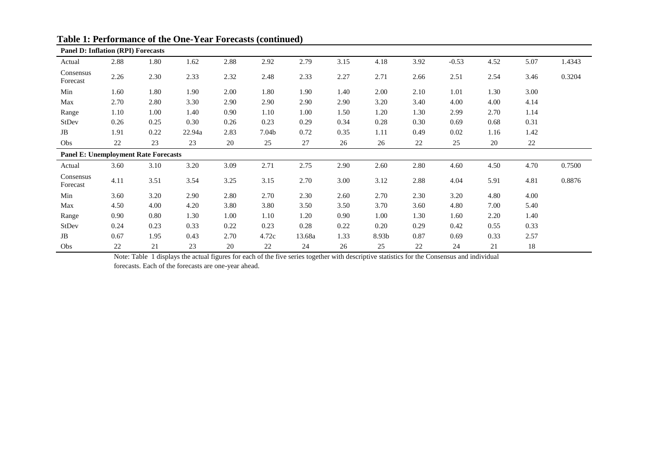| <b>Panel D: Inflation (RPI) Forecasts</b>   |      |      |        |      |       |        |      |       |      |         |      |      |        |
|---------------------------------------------|------|------|--------|------|-------|--------|------|-------|------|---------|------|------|--------|
| Actual                                      | 2.88 | 1.80 | 1.62   | 2.88 | 2.92  | 2.79   | 3.15 | 4.18  | 3.92 | $-0.53$ | 4.52 | 5.07 | 1.4343 |
| Consensus<br>Forecast                       | 2.26 | 2.30 | 2.33   | 2.32 | 2.48  | 2.33   | 2.27 | 2.71  | 2.66 | 2.51    | 2.54 | 3.46 | 0.3204 |
| Min                                         | 1.60 | 1.80 | 1.90   | 2.00 | 1.80  | 1.90   | 1.40 | 2.00  | 2.10 | 1.01    | 1.30 | 3.00 |        |
| Max                                         | 2.70 | 2.80 | 3.30   | 2.90 | 2.90  | 2.90   | 2.90 | 3.20  | 3.40 | 4.00    | 4.00 | 4.14 |        |
| Range                                       | 1.10 | 1.00 | 1.40   | 0.90 | 1.10  | 1.00   | 1.50 | 1.20  | 1.30 | 2.99    | 2.70 | 1.14 |        |
| StDev                                       | 0.26 | 0.25 | 0.30   | 0.26 | 0.23  | 0.29   | 0.34 | 0.28  | 0.30 | 0.69    | 0.68 | 0.31 |        |
| JB                                          | 1.91 | 0.22 | 22.94a | 2.83 | 7.04b | 0.72   | 0.35 | 1.11  | 0.49 | 0.02    | 1.16 | 1.42 |        |
| Obs                                         | 22   | 23   | 23     | 20   | 25    | 27     | 26   | 26    | 22   | 25      | 20   | 22   |        |
| <b>Panel E: Unemployment Rate Forecasts</b> |      |      |        |      |       |        |      |       |      |         |      |      |        |
| Actual                                      | 3.60 | 3.10 | 3.20   | 3.09 | 2.71  | 2.75   | 2.90 | 2.60  | 2.80 | 4.60    | 4.50 | 4.70 | 0.7500 |
| Consensus<br>Forecast                       | 4.11 | 3.51 | 3.54   | 3.25 | 3.15  | 2.70   | 3.00 | 3.12  | 2.88 | 4.04    | 5.91 | 4.81 | 0.8876 |
| Min                                         | 3.60 | 3.20 | 2.90   | 2.80 | 2.70  | 2.30   | 2.60 | 2.70  | 2.30 | 3.20    | 4.80 | 4.00 |        |
| Max                                         | 4.50 | 4.00 | 4.20   | 3.80 | 3.80  | 3.50   | 3.50 | 3.70  | 3.60 | 4.80    | 7.00 | 5.40 |        |
| Range                                       | 0.90 | 0.80 | 1.30   | 1.00 | 1.10  | 1.20   | 0.90 | 1.00  | 1.30 | 1.60    | 2.20 | 1.40 |        |
| <b>StDev</b>                                | 0.24 | 0.23 | 0.33   | 0.22 | 0.23  | 0.28   | 0.22 | 0.20  | 0.29 | 0.42    | 0.55 | 0.33 |        |
| JB                                          | 0.67 | 1.95 | 0.43   | 2.70 | 4.72c | 13.68a | 1.33 | 8.93b | 0.87 | 0.69    | 0.33 | 2.57 |        |
| Obs                                         | 22   | 21   | 23     | 20   | 22    | 24     | 26   | 25    | 22   | 24      | 21   | 18   |        |

#### **Table 1: Performance of the One-Year Forecasts (continued)**

Note: Table 1 displays the actual figures for each of the five series together with descriptive statistics for the Consensus and individual

forecasts. Each of the forecasts are one-year ahead.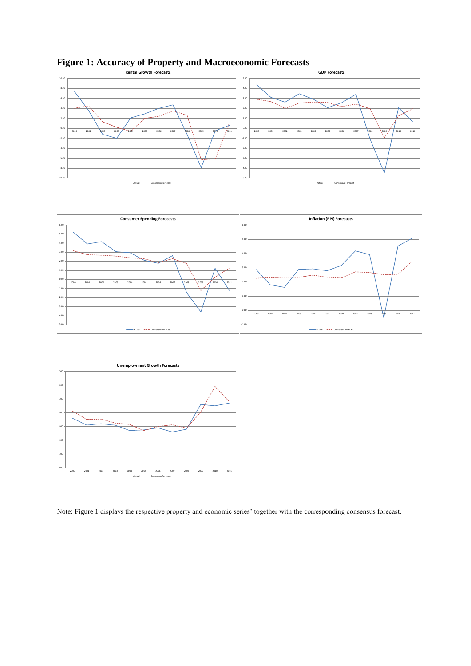

**Figure 1: Accuracy of Property and Macroeconomic Forecasts**





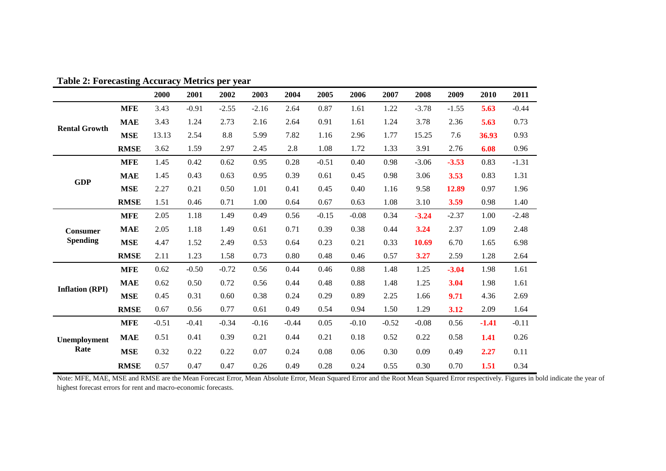|                        |             | 2000    | 2001    | 2002    | 2003    | 2004     | 2005    | 2006    | 2007    | 2008    | 2009    | 2010    | 2011    |
|------------------------|-------------|---------|---------|---------|---------|----------|---------|---------|---------|---------|---------|---------|---------|
|                        | <b>MFE</b>  | 3.43    | $-0.91$ | $-2.55$ | $-2.16$ | 2.64     | 0.87    | 1.61    | 1.22    | $-3.78$ | $-1.55$ | 5.63    | $-0.44$ |
| <b>Rental Growth</b>   | <b>MAE</b>  | 3.43    | 1.24    | 2.73    | 2.16    | 2.64     | 0.91    | 1.61    | 1.24    | 3.78    | 2.36    | 5.63    | 0.73    |
|                        | <b>MSE</b>  | 13.13   | 2.54    | $8.8\,$ | 5.99    | 7.82     | 1.16    | 2.96    | 1.77    | 15.25   | 7.6     | 36.93   | 0.93    |
|                        | <b>RMSE</b> | 3.62    | 1.59    | 2.97    | 2.45    | 2.8      | 1.08    | 1.72    | 1.33    | 3.91    | 2.76    | 6.08    | 0.96    |
|                        | <b>MFE</b>  | 1.45    | 0.42    | 0.62    | 0.95    | $0.28\,$ | $-0.51$ | 0.40    | 0.98    | $-3.06$ | $-3.53$ | 0.83    | $-1.31$ |
| <b>GDP</b>             | <b>MAE</b>  | 1.45    | 0.43    | 0.63    | 0.95    | 0.39     | 0.61    | 0.45    | 0.98    | 3.06    | 3.53    | 0.83    | 1.31    |
|                        | <b>MSE</b>  | 2.27    | 0.21    | 0.50    | 1.01    | 0.41     | 0.45    | 0.40    | 1.16    | 9.58    | 12.89   | 0.97    | 1.96    |
|                        | <b>RMSE</b> | 1.51    | 0.46    | 0.71    | 1.00    | 0.64     | 0.67    | 0.63    | 1.08    | 3.10    | 3.59    | 0.98    | 1.40    |
|                        | <b>MFE</b>  | 2.05    | 1.18    | 1.49    | 0.49    | 0.56     | $-0.15$ | $-0.08$ | 0.34    | $-3.24$ | $-2.37$ | 1.00    | $-2.48$ |
| <b>Consumer</b>        | <b>MAE</b>  | 2.05    | 1.18    | 1.49    | 0.61    | 0.71     | 0.39    | 0.38    | 0.44    | 3.24    | 2.37    | 1.09    | 2.48    |
| <b>Spending</b>        | <b>MSE</b>  | 4.47    | 1.52    | 2.49    | 0.53    | 0.64     | 0.23    | 0.21    | 0.33    | 10.69   | 6.70    | 1.65    | 6.98    |
|                        | <b>RMSE</b> | 2.11    | 1.23    | 1.58    | 0.73    | 0.80     | 0.48    | 0.46    | 0.57    | 3.27    | 2.59    | 1.28    | 2.64    |
|                        | <b>MFE</b>  | 0.62    | $-0.50$ | $-0.72$ | 0.56    | 0.44     | 0.46    | 0.88    | 1.48    | 1.25    | $-3.04$ | 1.98    | 1.61    |
| <b>Inflation (RPI)</b> | <b>MAE</b>  | 0.62    | 0.50    | 0.72    | 0.56    | 0.44     | 0.48    | 0.88    | 1.48    | 1.25    | 3.04    | 1.98    | 1.61    |
|                        | <b>MSE</b>  | 0.45    | 0.31    | 0.60    | 0.38    | 0.24     | 0.29    | 0.89    | 2.25    | 1.66    | 9.71    | 4.36    | 2.69    |
|                        | <b>RMSE</b> | 0.67    | 0.56    | 0.77    | 0.61    | 0.49     | 0.54    | 0.94    | 1.50    | 1.29    | 3.12    | 2.09    | 1.64    |
| Unemployment<br>Rate   | <b>MFE</b>  | $-0.51$ | $-0.41$ | $-0.34$ | $-0.16$ | $-0.44$  | 0.05    | $-0.10$ | $-0.52$ | $-0.08$ | 0.56    | $-1.41$ | $-0.11$ |
|                        | <b>MAE</b>  | 0.51    | 0.41    | 0.39    | 0.21    | 0.44     | 0.21    | 0.18    | 0.52    | 0.22    | 0.58    | 1.41    | 0.26    |
|                        | <b>MSE</b>  | 0.32    | 0.22    | 0.22    | 0.07    | 0.24     | 0.08    | 0.06    | 0.30    | 0.09    | 0.49    | 2.27    | 0.11    |
|                        | <b>RMSE</b> | 0.57    | 0.47    | 0.47    | 0.26    | 0.49     | 0.28    | 0.24    | 0.55    | 0.30    | 0.70    | 1.51    | 0.34    |

**Table 2: Forecasting Accuracy Metrics per year**

Note: MFE, MAE, MSE and RMSE are the Mean Forecast Error, Mean Absolute Error, Mean Squared Error and the Root Mean Squared Error respectively. Figures in bold indicate the year of highest forecast errors for rent and macro-economic forecasts.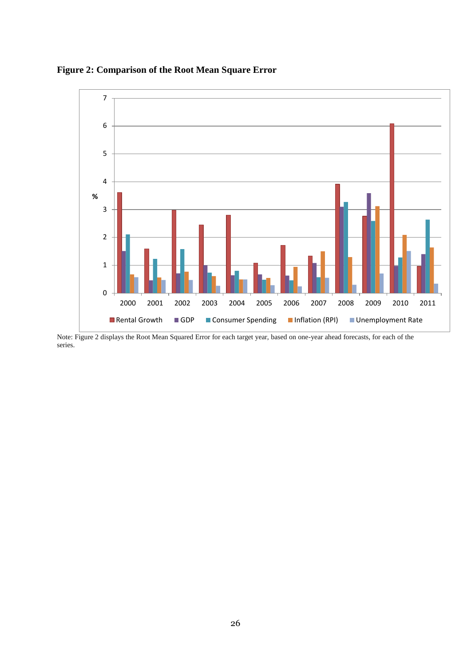



Note: Figure 2 displays the Root Mean Squared Error for each target year, based on one-year ahead forecasts, for each of the series.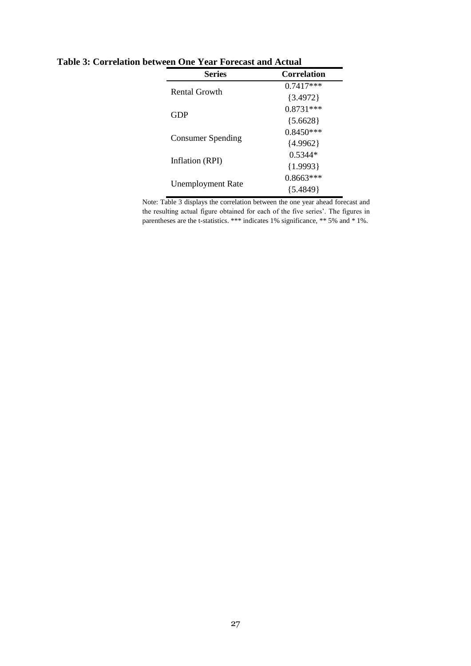| <b>Series</b>            | <b>Correlation</b> |
|--------------------------|--------------------|
| <b>Rental Growth</b>     | $0.7417***$        |
|                          | ${3.4972}$         |
| GDP                      | $0.8731***$        |
|                          | ${5.6628}$         |
|                          | $0.8450***$        |
| Consumer Spending        | ${4.9962}$         |
| Inflation (RPI)          | $0.5344*$          |
|                          | ${1.9993}$         |
|                          | $0.8663***$        |
| <b>Unemployment Rate</b> | ${5.4849}$         |

**Table 3: Correlation between One Year Forecast and Actual**

Note: Table 3 displays the correlation between the one year ahead forecast and the resulting actual figure obtained for each of the five series'. The figures in parentheses are the t-statistics. \*\*\* indicates 1% significance, \*\* 5% and \* 1%.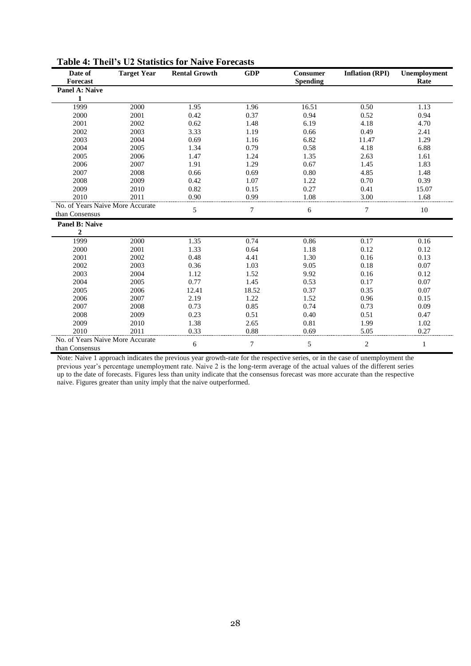| Date of<br><b>Forecast</b>       | <b>Target Year</b> | <b>Rental Growth</b> | <b>GDP</b>     | Consumer<br><b>Spending</b> | <b>Inflation (RPI)</b> | Unemployment<br>Rate |
|----------------------------------|--------------------|----------------------|----------------|-----------------------------|------------------------|----------------------|
| Panel A: Naive                   |                    |                      |                |                             |                        |                      |
| 1                                |                    |                      |                |                             |                        |                      |
| 1999                             | 2000               | 1.95                 | 1.96           | 16.51                       | 0.50                   | 1.13                 |
| 2000                             | 2001               | 0.42                 | 0.37           | 0.94                        | 0.52                   | 0.94                 |
| 2001                             | 2002               | 0.62                 | 1.48           | 6.19                        | 4.18                   | 4.70                 |
| 2002                             | 2003               | 3.33                 | 1.19           | 0.66                        | 0.49                   | 2.41                 |
| 2003                             | 2004               | 0.69                 | 1.16           | 6.82                        | 11.47                  | 1.29                 |
| 2004                             | 2005               | 1.34                 | 0.79           | 0.58                        | 4.18                   | 6.88                 |
| 2005                             | 2006               | 1.47                 | 1.24           | 1.35                        | 2.63                   | 1.61                 |
| 2006                             | 2007               | 1.91                 | 1.29           | 0.67                        | 1.45                   | 1.83                 |
| 2007                             | 2008               | 0.66                 | 0.69           | 0.80                        | 4.85                   | 1.48                 |
| 2008                             | 2009               | 0.42                 | 1.07           | 1.22                        | 0.70                   | 0.39                 |
| 2009                             | 2010               | 0.82                 | 0.15           | 0.27                        | 0.41                   | 15.07                |
| 2010                             | 2011               | 0.90                 | 0.99           | 1.08                        | 3.00                   | 1.68                 |
| No. of Years Naive More Accurate |                    |                      | $\overline{7}$ |                             |                        |                      |
| than Consensus                   |                    | 5                    |                | 6                           | $\tau$                 | 10                   |
| <b>Panel B: Naive</b>            |                    |                      |                |                             |                        |                      |
| $\boldsymbol{2}$                 |                    |                      |                |                             |                        |                      |
| 1999                             | 2000               | 1.35                 | 0.74           | 0.86                        | 0.17                   | 0.16                 |
| 2000                             | 2001               | 1.33                 | 0.64           | 1.18                        | 0.12                   | 0.12                 |
| 2001                             | 2002               | 0.48                 | 4.41           | 1.30                        | 0.16                   | 0.13                 |
| 2002                             | 2003               | 0.36                 | 1.03           | 9.05                        | 0.18                   | 0.07                 |
| 2003                             | 2004               | 1.12                 | 1.52           | 9.92                        | 0.16                   | 0.12                 |
| 2004                             | 2005               | 0.77                 | 1.45           | 0.53                        | 0.17                   | 0.07                 |
| 2005                             | 2006               | 12.41                | 18.52          | 0.37                        | 0.35                   | 0.07                 |
| 2006                             | 2007               | 2.19                 | 1.22           | 1.52                        | 0.96                   | 0.15                 |
| 2007                             | 2008               | 0.73                 | 0.85           | 0.74                        | 0.73                   | 0.09                 |
| 2008                             | 2009               | 0.23                 | 0.51           | 0.40                        | 0.51                   | 0.47                 |
| 2009                             | 2010               | 1.38                 | 2.65           | 0.81                        | 1.99                   | 1.02                 |
| 2010                             | 2011               | 0.33                 | 0.88           | 0.69                        | 5.05                   | 0.27                 |
| No. of Years Naive More Accurate |                    |                      | $\overline{7}$ |                             | $\overline{2}$         |                      |
| than Consensus                   |                    | 6                    |                | 5                           |                        | 1                    |

| <b>Table 4: Theil's U2 Statistics for Naive Forecasts</b> |  |  |  |
|-----------------------------------------------------------|--|--|--|
|-----------------------------------------------------------|--|--|--|

Note: Naive 1 approach indicates the previous year growth-rate for the respective series, or in the case of unemployment the previous year's percentage unemployment rate. Naive 2 is the long-term average of the actual values of the different series up to the date of forecasts. Figures less than unity indicate that the consensus forecast was more accurate than the respective naive. Figures greater than unity imply that the naive outperformed.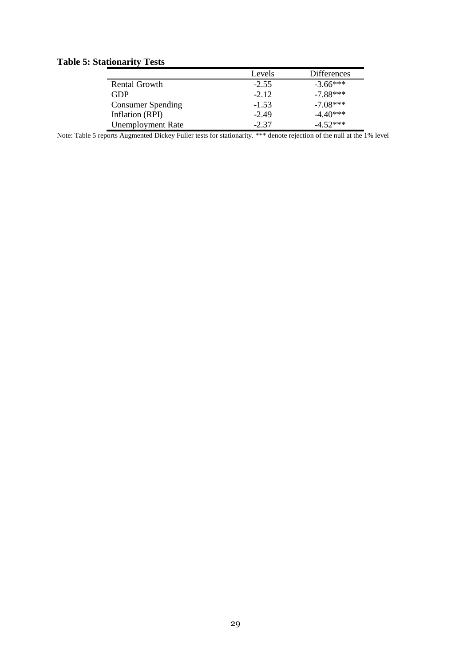### **Table 5: Stationarity Tests**

| auvhality Tests          |         |                    |
|--------------------------|---------|--------------------|
|                          | Levels  | <b>Differences</b> |
| Rental Growth            | $-2.55$ | $-3.66***$         |
| GDP                      | $-2.12$ | $-7.88***$         |
| <b>Consumer Spending</b> | $-1.53$ | $-7.08***$         |
| Inflation (RPI)          | $-2.49$ | $-4.40***$         |
| <b>Unemployment Rate</b> | $-2.37$ | $-4.52***$         |

Note: Table 5 reports Augmented Dickey Fuller tests for stationarity. \*\*\* denote rejection of the null at the 1% level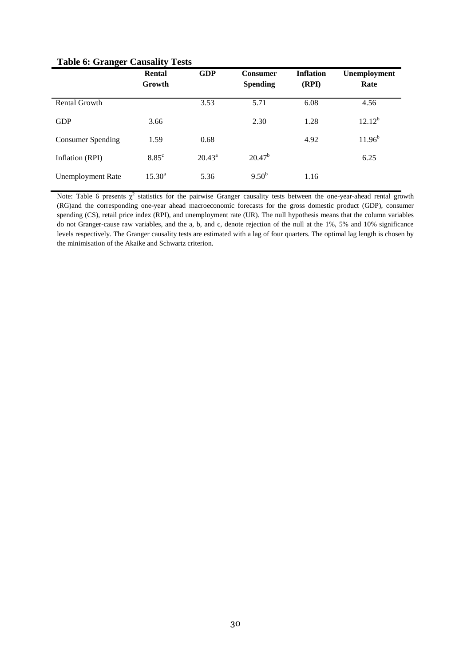|                   | Rental          | <b>GDP</b>      | <b>Consumer</b> | <b>Inflation</b> | <b>Unemployment</b> |
|-------------------|-----------------|-----------------|-----------------|------------------|---------------------|
|                   | Growth          |                 | <b>Spending</b> | (RPI)            | Rate                |
| Rental Growth     |                 | 3.53            | 5.71            | 6.08             | 4.56                |
| <b>GDP</b>        | 3.66            |                 | 2.30            | 1.28             | $12.12^{b}$         |
| Consumer Spending | 1.59            | 0.68            |                 | 4.92             | $11.96^{b}$         |
| Inflation (RPI)   | $8.85^{\circ}$  | $20.43^{\circ}$ | $20.47^{b}$     |                  | 6.25                |
| Unemployment Rate | $15.30^{\circ}$ | 5.36            | $9.50^{b}$      | 1.16             |                     |

#### **Table 6: Granger Causality Tests**

Note: Table 6 presents  $\chi^2$  statistics for the pairwise Granger causality tests between the one-year-ahead rental growth (RG)and the corresponding one-year ahead macroeconomic forecasts for the gross domestic product (GDP), consumer spending (CS), retail price index (RPI), and unemployment rate (UR). The null hypothesis means that the column variables do not Granger-cause raw variables, and the a, b, and c, denote rejection of the null at the 1%, 5% and 10% significance levels respectively. The Granger causality tests are estimated with a lag of four quarters. The optimal lag length is chosen by the minimisation of the Akaike and Schwartz criterion.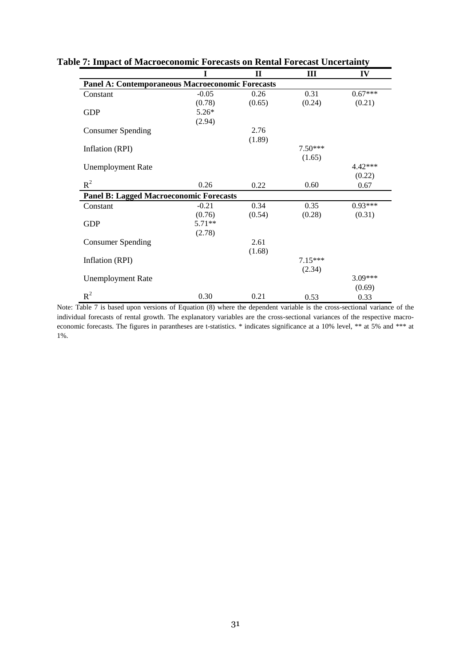|                                                         | T        | $\mathbf{I}$ | Ш         | IV        |
|---------------------------------------------------------|----------|--------------|-----------|-----------|
| <b>Panel A: Contemporaneous Macroeconomic Forecasts</b> |          |              |           |           |
| Constant                                                | $-0.05$  | 0.26         | 0.31      | $0.67***$ |
|                                                         | (0.78)   | (0.65)       | (0.24)    | (0.21)    |
| <b>GDP</b>                                              | $5.26*$  |              |           |           |
|                                                         | (2.94)   |              |           |           |
| <b>Consumer Spending</b>                                |          | 2.76         |           |           |
|                                                         |          | (1.89)       |           |           |
| Inflation (RPI)                                         |          |              | $7.50***$ |           |
|                                                         |          |              | (1.65)    |           |
| <b>Unemployment Rate</b>                                |          |              |           | 4.42***   |
|                                                         |          |              |           | (0.22)    |
| $R^2$                                                   | 0.26     | 0.22         | 0.60      | 0.67      |
| <b>Panel B: Lagged Macroeconomic Forecasts</b>          |          |              |           |           |
| Constant                                                | $-0.21$  | 0.34         | 0.35      | $0.93***$ |
|                                                         | (0.76)   | (0.54)       | (0.28)    | (0.31)    |
| <b>GDP</b>                                              | $5.71**$ |              |           |           |
|                                                         | (2.78)   |              |           |           |
| <b>Consumer Spending</b>                                |          | 2.61         |           |           |
|                                                         |          | (1.68)       |           |           |
| Inflation (RPI)                                         |          |              | $7.15***$ |           |
|                                                         |          |              | (2.34)    |           |
| <b>Unemployment Rate</b>                                |          |              |           | 3.09***   |
|                                                         |          |              |           | (0.69)    |
| $R^2$                                                   | 0.30     | 0.21         | 0.53      | 0.33      |

**Table 7: Impact of Macroeconomic Forecasts on Rental Forecast Uncertainty**

Note: Table 7 is based upon versions of Equation (8) where the dependent variable is the cross-sectional variance of the individual forecasts of rental growth. The explanatory variables are the cross-sectional variances of the respective macroeconomic forecasts. The figures in parantheses are t-statistics. \* indicates significance at a 10% level, \*\* at 5% and \*\*\* at 1%.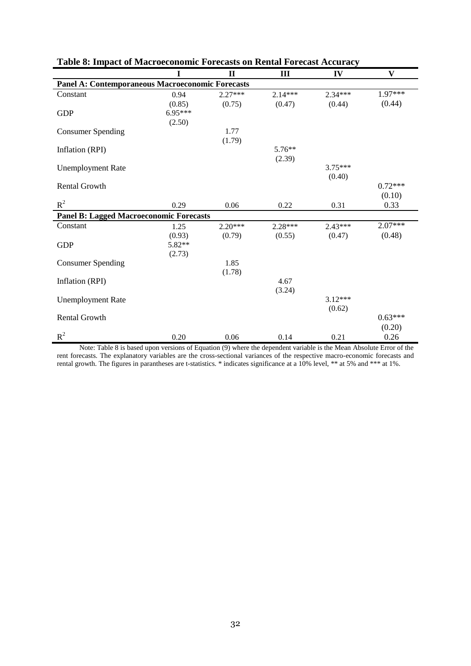|                                                         | T                | $\mathbf{I}$ | III       | IV        | $\mathbf{V}$ |  |  |  |  |  |
|---------------------------------------------------------|------------------|--------------|-----------|-----------|--------------|--|--|--|--|--|
| <b>Panel A: Contemporaneous Macroeconomic Forecasts</b> |                  |              |           |           |              |  |  |  |  |  |
| Constant                                                | 0.94             | $2.27***$    | $2.14***$ | $2.34***$ | $1.97***$    |  |  |  |  |  |
|                                                         | (0.85)           | (0.75)       | (0.47)    | (0.44)    | (0.44)       |  |  |  |  |  |
| <b>GDP</b>                                              | 6.95***          |              |           |           |              |  |  |  |  |  |
|                                                         | (2.50)           |              |           |           |              |  |  |  |  |  |
| <b>Consumer Spending</b>                                |                  | 1.77         |           |           |              |  |  |  |  |  |
|                                                         |                  | (1.79)       |           |           |              |  |  |  |  |  |
| Inflation (RPI)                                         |                  |              | $5.76**$  |           |              |  |  |  |  |  |
|                                                         |                  |              | (2.39)    |           |              |  |  |  |  |  |
| <b>Unemployment Rate</b>                                |                  |              |           | $3.75***$ |              |  |  |  |  |  |
| <b>Rental Growth</b>                                    |                  |              |           | (0.40)    | $0.72***$    |  |  |  |  |  |
|                                                         |                  |              |           |           | (0.10)       |  |  |  |  |  |
| $R^2$                                                   | 0.29             | 0.06         | 0.22      | 0.31      | 0.33         |  |  |  |  |  |
|                                                         |                  |              |           |           |              |  |  |  |  |  |
| <b>Panel B: Lagged Macroeconomic Forecasts</b>          |                  |              |           |           | 2.07***      |  |  |  |  |  |
| Constant                                                | 1.25             | $2.20***$    | 2.28***   | $2.43***$ | (0.48)       |  |  |  |  |  |
|                                                         | (0.93)<br>5.82** | (0.79)       | (0.55)    | (0.47)    |              |  |  |  |  |  |
| <b>GDP</b>                                              | (2.73)           |              |           |           |              |  |  |  |  |  |
| <b>Consumer Spending</b>                                |                  | 1.85         |           |           |              |  |  |  |  |  |
|                                                         |                  | (1.78)       |           |           |              |  |  |  |  |  |
| Inflation (RPI)                                         |                  |              | 4.67      |           |              |  |  |  |  |  |
|                                                         |                  |              | (3.24)    |           |              |  |  |  |  |  |
| <b>Unemployment Rate</b>                                |                  |              |           | $3.12***$ |              |  |  |  |  |  |
|                                                         |                  |              |           | (0.62)    |              |  |  |  |  |  |
| <b>Rental Growth</b>                                    |                  |              |           |           | $0.63***$    |  |  |  |  |  |
|                                                         |                  |              |           |           | (0.20)       |  |  |  |  |  |
| $R^2$                                                   | 0.20             | 0.06         | 0.14      | 0.21      | 0.26         |  |  |  |  |  |

#### **Table 8: Impact of Macroeconomic Forecasts on Rental Forecast Accuracy**

Note: Table 8 is based upon versions of Equation (9) where the dependent variable is the Mean Absolute Error of the rent forecasts. The explanatory variables are the cross-sectional variances of the respective macro-economic forecasts and rental growth. The figures in parantheses are t-statistics. \* indicates significance at a 10% level, \*\* at 5% and \*\*\* at 1%.